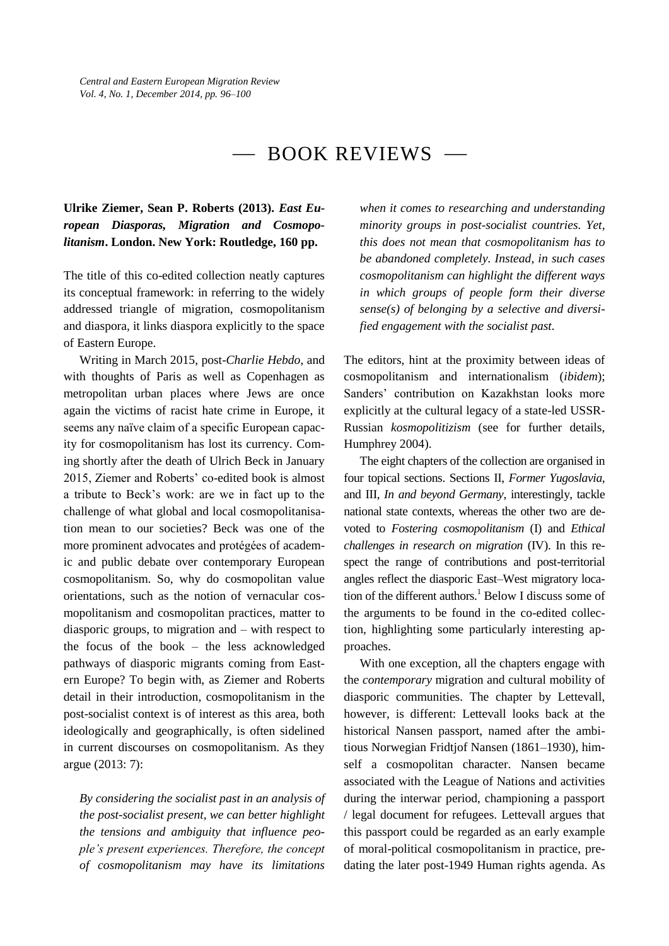# $-$  BOOK REVIEWS  $-$

## **Ulrike Ziemer, Sean P. Roberts (2013).** *East European Diasporas, Migration and Cosmopolitanism***. London. New York: Routledge, 160 pp.**

The title of this co-edited collection neatly captures its conceptual framework: in referring to the widely addressed triangle of migration, cosmopolitanism and diaspora, it links diaspora explicitly to the space of Eastern Europe.

Writing in March 2015, post-*Charlie Hebdo*, and with thoughts of Paris as well as Copenhagen as metropolitan urban places where Jews are once again the victims of racist hate crime in Europe, it seems any naïve claim of a specific European capacity for cosmopolitanism has lost its currency. Coming shortly after the death of Ulrich Beck in January 2015, Ziemer and Roberts' co-edited book is almost a tribute to Beck's work: are we in fact up to the challenge of what global and local cosmopolitanisation mean to our societies? Beck was one of the more prominent advocates and protégées of academic and public debate over contemporary European cosmopolitanism. So, why do cosmopolitan value orientations, such as the notion of vernacular cosmopolitanism and cosmopolitan practices, matter to diasporic groups, to migration and – with respect to the focus of the book – the less acknowledged pathways of diasporic migrants coming from Eastern Europe? To begin with, as Ziemer and Roberts detail in their introduction, cosmopolitanism in the post-socialist context is of interest as this area, both ideologically and geographically, is often sidelined in current discourses on cosmopolitanism. As they argue (2013: 7):

*By considering the socialist past in an analysis of the post-socialist present, we can better highlight the tensions and ambiguity that influence people's present experiences. Therefore, the concept of cosmopolitanism may have its limitations* 

*when it comes to researching and understanding minority groups in post-socialist countries. Yet, this does not mean that cosmopolitanism has to be abandoned completely. Instead, in such cases cosmopolitanism can highlight the different ways in which groups of people form their diverse sense(s) of belonging by a selective and diversified engagement with the socialist past.*

The editors, hint at the proximity between ideas of cosmopolitanism and internationalism (*ibidem*); Sanders' contribution on Kazakhstan looks more explicitly at the cultural legacy of a state-led USSR-Russian *kosmopolitizism* (see for further details, Humphrey 2004).

The eight chapters of the collection are organised in four topical sections. Sections II, *Former Yugoslavia*, and III, *In and beyond Germany*, interestingly, tackle national state contexts, whereas the other two are devoted to *Fostering cosmopolitanism* (I) and *Ethical challenges in research on migration* (IV). In this respect the range of contributions and post-territorial angles reflect the diasporic East–West migratory location of the different authors.<sup>1</sup> Below I discuss some of the arguments to be found in the co-edited collection, highlighting some particularly interesting approaches.

With one exception, all the chapters engage with the *contemporary* migration and cultural mobility of diasporic communities. The chapter by Lettevall, however, is different: Lettevall looks back at the historical Nansen passport, named after the ambitious Norwegian Fridtiof Nansen (1861–1930), himself a cosmopolitan character. Nansen became associated with the League of Nations and activities during the interwar period, championing a passport / legal document for refugees. Lettevall argues that this passport could be regarded as an early example of moral-political cosmopolitanism in practice, predating the later post-1949 Human rights agenda. As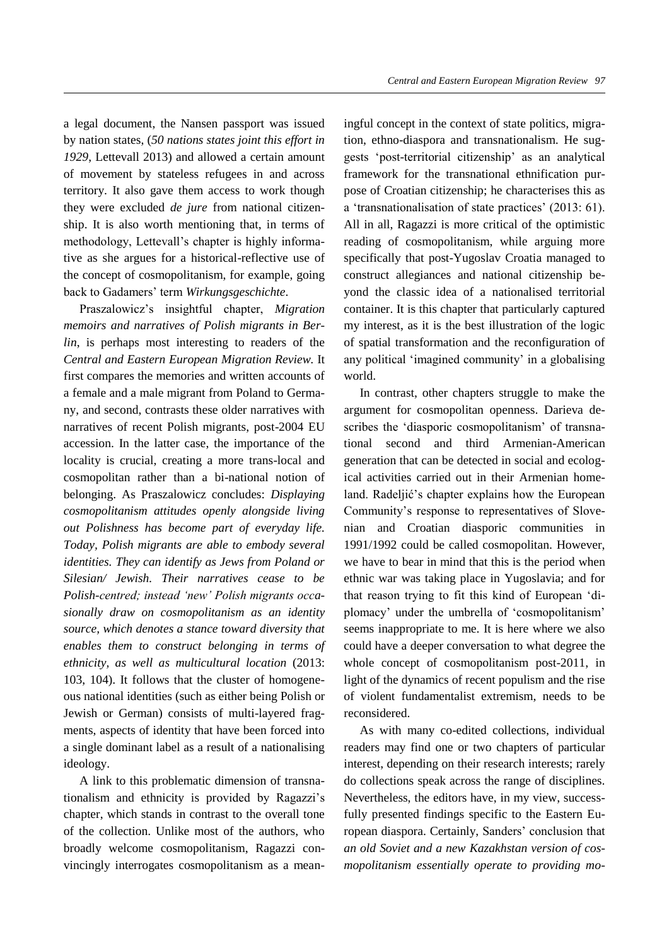a legal document, the Nansen passport was issued by nation states, (*50 nations states joint this effort in 1929*, Lettevall 2013) and allowed a certain amount of movement by stateless refugees in and across territory. It also gave them access to work though they were excluded *de jure* from national citizenship. It is also worth mentioning that, in terms of methodology, Lettevall's chapter is highly informative as she argues for a historical-reflective use of the concept of cosmopolitanism, for example, going back to Gadamers' term *Wirkungsgeschichte*.

Praszalowicz's insightful chapter, *Migration memoirs and narratives of Polish migrants in Berlin*, is perhaps most interesting to readers of the *Central and Eastern European Migration Review.* It first compares the memories and written accounts of a female and a male migrant from Poland to Germany, and second, contrasts these older narratives with narratives of recent Polish migrants, post-2004 EU accession. In the latter case, the importance of the locality is crucial, creating a more trans-local and cosmopolitan rather than a bi-national notion of belonging. As Praszalowicz concludes: *Displaying cosmopolitanism attitudes openly alongside living out Polishness has become part of everyday life. Today, Polish migrants are able to embody several identities. They can identify as Jews from Poland or Silesian/ Jewish. Their narratives cease to be Polish-centred; instead 'new' Polish migrants occasionally draw on cosmopolitanism as an identity source, which denotes a stance toward diversity that enables them to construct belonging in terms of ethnicity, as well as multicultural location* (2013: 103, 104). It follows that the cluster of homogeneous national identities (such as either being Polish or Jewish or German) consists of multi-layered fragments, aspects of identity that have been forced into a single dominant label as a result of a nationalising ideology.

A link to this problematic dimension of transnationalism and ethnicity is provided by Ragazzi's chapter, which stands in contrast to the overall tone of the collection. Unlike most of the authors, who broadly welcome cosmopolitanism, Ragazzi convincingly interrogates cosmopolitanism as a meaningful concept in the context of state politics, migration, ethno-diaspora and transnationalism. He suggests 'post-territorial citizenship' as an analytical framework for the transnational ethnification purpose of Croatian citizenship; he characterises this as a 'transnationalisation of state practices' (2013: 61). All in all, Ragazzi is more critical of the optimistic reading of cosmopolitanism, while arguing more specifically that post-Yugoslav Croatia managed to construct allegiances and national citizenship beyond the classic idea of a nationalised territorial container. It is this chapter that particularly captured my interest, as it is the best illustration of the logic of spatial transformation and the reconfiguration of any political 'imagined community' in a globalising world.

In contrast, other chapters struggle to make the argument for cosmopolitan openness. Darieva describes the 'diasporic cosmopolitanism' of transnational second and third Armenian-American generation that can be detected in social and ecological activities carried out in their Armenian homeland. Radeljić's chapter explains how the European Community's response to representatives of Slovenian and Croatian diasporic communities in 1991/1992 could be called cosmopolitan. However, we have to bear in mind that this is the period when ethnic war was taking place in Yugoslavia; and for that reason trying to fit this kind of European 'diplomacy' under the umbrella of 'cosmopolitanism' seems inappropriate to me. It is here where we also could have a deeper conversation to what degree the whole concept of cosmopolitanism post-2011, in light of the dynamics of recent populism and the rise of violent fundamentalist extremism, needs to be reconsidered.

As with many co-edited collections, individual readers may find one or two chapters of particular interest, depending on their research interests; rarely do collections speak across the range of disciplines. Nevertheless, the editors have, in my view, successfully presented findings specific to the Eastern European diaspora. Certainly, Sanders' conclusion that *an old Soviet and a new Kazakhstan version of cosmopolitanism essentially operate to providing mo-*